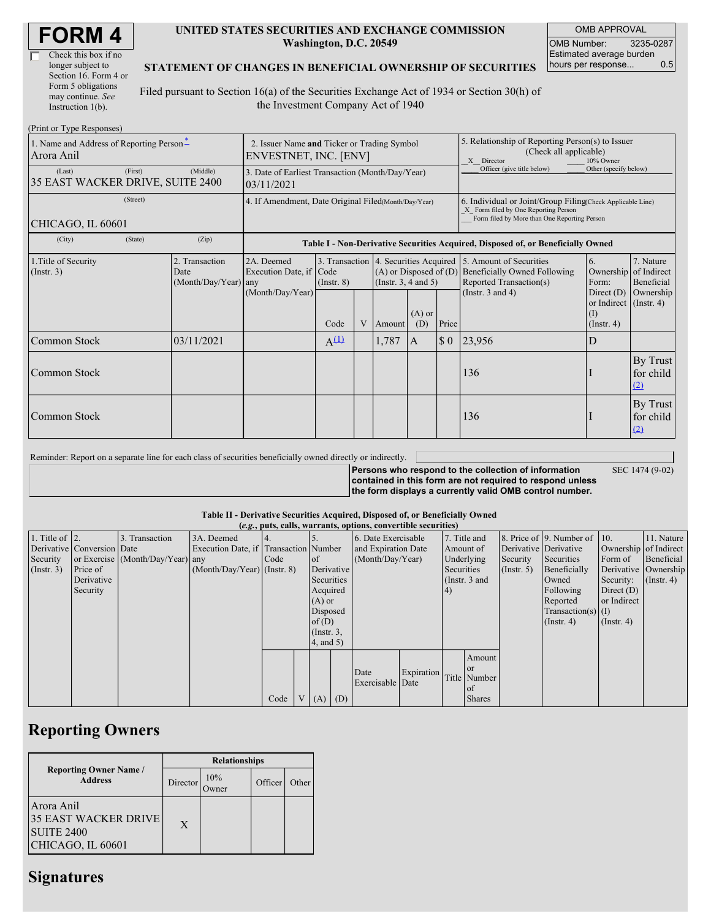| <b>FORM4</b> |
|--------------|
|--------------|

| Check this box if no  |
|-----------------------|
| longer subject to     |
| Section 16. Form 4 or |
| Form 5 obligations    |
| may continue. See     |
| Instruction 1(b).     |

#### **UNITED STATES SECURITIES AND EXCHANGE COMMISSION Washington, D.C. 20549**

OMB APPROVAL OMB Number: 3235-0287 Estimated average burden<br>hours per response... 0.5 hours per response...

### **STATEMENT OF CHANGES IN BENEFICIAL OWNERSHIP OF SECURITIES**

Filed pursuant to Section 16(a) of the Securities Exchange Act of 1934 or Section 30(h) of the Investment Company Act of 1940

| (Print or Type Responses)                              |                                                                      |                                                                                  |                 |   |                                                        |                                                                                                       |                                                                                                                                                    |                                                                                                                                                          |                                                                    |                                                     |
|--------------------------------------------------------|----------------------------------------------------------------------|----------------------------------------------------------------------------------|-----------------|---|--------------------------------------------------------|-------------------------------------------------------------------------------------------------------|----------------------------------------------------------------------------------------------------------------------------------------------------|----------------------------------------------------------------------------------------------------------------------------------------------------------|--------------------------------------------------------------------|-----------------------------------------------------|
| 1. Name and Address of Reporting Person-<br>Arora Anil | 2. Issuer Name and Ticker or Trading Symbol<br>ENVESTNET, INC. [ENV] |                                                                                  |                 |   |                                                        | 5. Relationship of Reporting Person(s) to Issuer<br>(Check all applicable)<br>X Director<br>10% Owner |                                                                                                                                                    |                                                                                                                                                          |                                                                    |                                                     |
| (First)<br>(Last)<br>35 EAST WACKER DRIVE, SUITE 2400  | 3. Date of Earliest Transaction (Month/Day/Year)<br>03/11/2021       |                                                                                  |                 |   |                                                        | Officer (give title below)                                                                            | Other (specify below)                                                                                                                              |                                                                                                                                                          |                                                                    |                                                     |
| (Street)<br>CHICAGO, IL 60601                          | 4. If Amendment, Date Original Filed(Month/Day/Year)                 |                                                                                  |                 |   |                                                        |                                                                                                       | 6. Individual or Joint/Group Filing(Check Applicable Line)<br>X Form filed by One Reporting Person<br>Form filed by More than One Reporting Person |                                                                                                                                                          |                                                                    |                                                     |
| (City)<br>(State)                                      | (Zip)                                                                | Table I - Non-Derivative Securities Acquired, Disposed of, or Beneficially Owned |                 |   |                                                        |                                                                                                       |                                                                                                                                                    |                                                                                                                                                          |                                                                    |                                                     |
| 1. Title of Security<br>(Insert. 3)                    | 2. Transaction<br>Date<br>(Month/Day/Year) any                       | 2A. Deemed<br>Execution Date, if Code<br>(Month/Day/Year)                        | $($ Instr. $8)$ |   | $(A)$ or Disposed of $(D)$<br>(Instr. $3, 4$ and $5$ ) |                                                                                                       |                                                                                                                                                    | 3. Transaction 4. Securities Acquired 5. Amount of Securities<br><b>Beneficially Owned Following</b><br>Reported Transaction(s)<br>(Instr. $3$ and $4$ ) | 6.<br>Ownership<br>Form:<br>Direct $(D)$<br>or Indirect (Instr. 4) | 7. Nature<br>of Indirect<br>Beneficial<br>Ownership |
|                                                        |                                                                      |                                                                                  | Code            | V | Amount                                                 | $(A)$ or<br>(D)                                                                                       | Price                                                                                                                                              |                                                                                                                                                          | (1)<br>(Insert, 4)                                                 |                                                     |
| Common Stock                                           | 03/11/2021                                                           |                                                                                  | $A^{(1)}$       |   | 1,787                                                  | A                                                                                                     | $\sqrt{ }$                                                                                                                                         | 23,956                                                                                                                                                   | D                                                                  |                                                     |
| Common Stock                                           |                                                                      |                                                                                  |                 |   |                                                        |                                                                                                       |                                                                                                                                                    | 136                                                                                                                                                      |                                                                    | By Trust<br>for child<br>(2)                        |
| Common Stock                                           |                                                                      |                                                                                  |                 |   |                                                        |                                                                                                       |                                                                                                                                                    | 136                                                                                                                                                      |                                                                    | By Trust<br>for child<br>(2)                        |

| Reminder: Report on a separate line for each class of securities beneficially owned directly or indirectly. |                                                           |                 |
|-------------------------------------------------------------------------------------------------------------|-----------------------------------------------------------|-----------------|
|                                                                                                             | Persons who respond to the collection of information      | SEC 1474 (9-02) |
|                                                                                                             | contained in this form are not required to respond unless |                 |
|                                                                                                             | the form displays a currently valid OMB control number.   |                 |

### **Table II - Derivative Securities Acquired, Disposed of, or Beneficially Owned**

|                        | (e.g., puts, calls, warrants, options, convertible securities) |                                  |                                       |      |          |                 |  |                     |            |            |               |                      |                              |                       |                      |
|------------------------|----------------------------------------------------------------|----------------------------------|---------------------------------------|------|----------|-----------------|--|---------------------|------------|------------|---------------|----------------------|------------------------------|-----------------------|----------------------|
| 1. Title of $\vert$ 2. |                                                                | 3. Transaction                   | 3A. Deemed                            |      |          |                 |  | 6. Date Exercisable |            |            | 7. Title and  |                      | 8. Price of 9. Number of 10. |                       | 11. Nature           |
|                        | Derivative Conversion Date                                     |                                  | Execution Date, if Transaction Number |      |          |                 |  | and Expiration Date |            | Amount of  |               |                      | Derivative Derivative        | Ownership of Indirect |                      |
| Security               |                                                                | or Exercise (Month/Day/Year) any |                                       | Code |          | $\circ$ f       |  | (Month/Day/Year)    |            | Underlying |               | Security             | Securities                   | Form of               | Beneficial           |
| (Insert. 3)            | Price of                                                       |                                  | $(Month/Day/Year)$ (Instr. 8)         |      |          | Derivative      |  |                     |            | Securities |               | $($ Instr. 5 $)$     | Beneficially                 |                       | Derivative Ownership |
|                        | Derivative                                                     |                                  |                                       |      |          | Securities      |  | (Instr. $3$ and     |            |            | Owned         | Security:            | $($ Instr. 4)                |                       |                      |
|                        | Security                                                       |                                  |                                       |      |          | Acquired        |  |                     |            | (4)        |               |                      | Following                    | Direct $(D)$          |                      |
|                        |                                                                |                                  |                                       |      | $(A)$ or |                 |  |                     |            |            |               | Reported             | or Indirect                  |                       |                      |
|                        |                                                                |                                  |                                       |      | Disposed |                 |  |                     |            |            |               | Transaction(s) $(I)$ |                              |                       |                      |
|                        |                                                                |                                  |                                       |      |          | of(D)           |  |                     |            |            |               |                      | $($ Instr. 4 $)$             | $($ Instr. 4 $)$      |                      |
|                        |                                                                |                                  |                                       |      |          | $($ Instr. $3,$ |  |                     |            |            |               |                      |                              |                       |                      |
|                        |                                                                |                                  |                                       |      |          | 4, and 5)       |  |                     |            |            |               |                      |                              |                       |                      |
|                        |                                                                |                                  |                                       |      |          |                 |  |                     |            |            | Amount        |                      |                              |                       |                      |
|                        |                                                                |                                  |                                       |      |          |                 |  |                     |            |            | or            |                      |                              |                       |                      |
|                        |                                                                |                                  |                                       |      |          |                 |  | Date                | Expiration |            | Title Number  |                      |                              |                       |                      |
|                        |                                                                |                                  |                                       |      |          |                 |  | Exercisable Date    |            |            | of            |                      |                              |                       |                      |
|                        |                                                                |                                  |                                       | Code |          | $(A)$ $(D)$     |  |                     |            |            | <b>Shares</b> |                      |                              |                       |                      |

# **Reporting Owners**

| <b>Reporting Owner Name /</b><br><b>Address</b>                                     | <b>Relationships</b> |                     |         |       |  |  |  |  |
|-------------------------------------------------------------------------------------|----------------------|---------------------|---------|-------|--|--|--|--|
|                                                                                     | Director             | 10%<br><b>Dwner</b> | Officer | Other |  |  |  |  |
| Arora Anil<br><b>35 EAST WACKER DRIVE</b><br><b>SUITE 2400</b><br>CHICAGO, IL 60601 | X                    |                     |         |       |  |  |  |  |

## **Signatures**